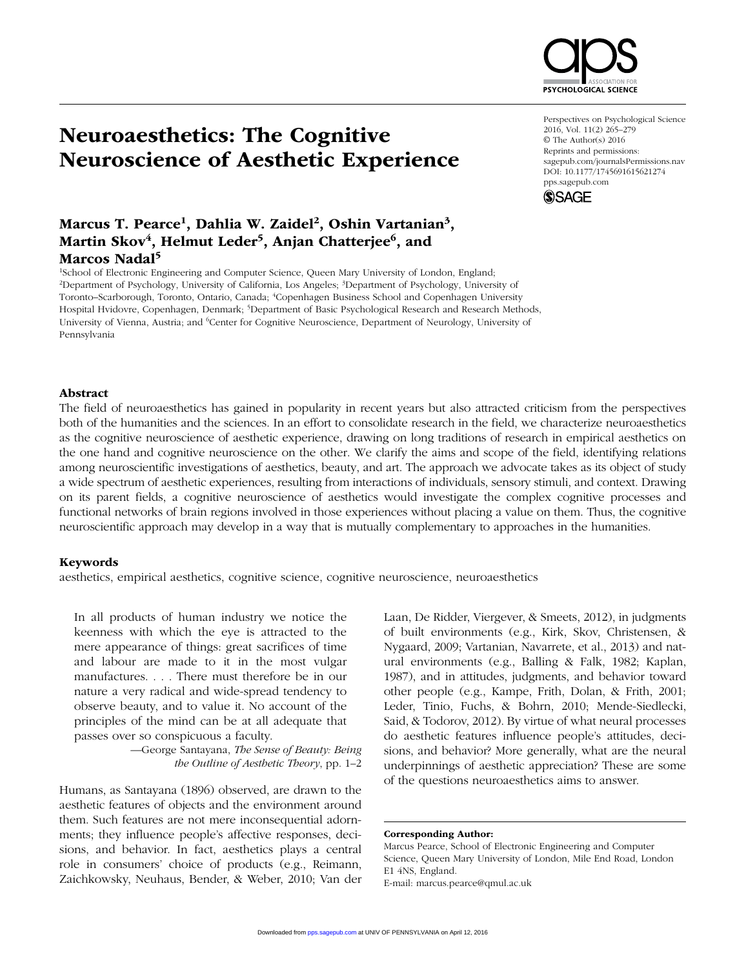# Neuroaesthetics: The Cognitive Neuroscience of Aesthetic Experience

# Marcus T. Pearce<sup>1</sup>, Dahlia W. Zaidel<sup>2</sup>, Oshin Vartanian<sup>3</sup>, Martin Skov<sup>4</sup>, Helmut Leder<sup>5</sup>, Anjan Chatterjee<sup>6</sup>, and Marcos Nadal<sup>5</sup>

1 School of Electronic Engineering and Computer Science, Queen Mary University of London, England; <sup>2</sup>Department of Psychology, University of California, Los Angeles; <sup>3</sup>Department of Psychology, University of Toronto–Scarborough, Toronto, Ontario, Canada; 4 Copenhagen Business School and Copenhagen University Hospital Hvidovre, Copenhagen, Denmark; 5 Department of Basic Psychological Research and Research Methods, University of Vienna, Austria; and <sup>6</sup>Center for Cognitive Neuroscience, Department of Neurology, University of Pennsylvania

#### Abstract

The field of neuroaesthetics has gained in popularity in recent years but also attracted criticism from the perspectives both of the humanities and the sciences. In an effort to consolidate research in the field, we characterize neuroaesthetics as the cognitive neuroscience of aesthetic experience, drawing on long traditions of research in empirical aesthetics on the one hand and cognitive neuroscience on the other. We clarify the aims and scope of the field, identifying relations among neuroscientific investigations of aesthetics, beauty, and art. The approach we advocate takes as its object of study a wide spectrum of aesthetic experiences, resulting from interactions of individuals, sensory stimuli, and context. Drawing on its parent fields, a cognitive neuroscience of aesthetics would investigate the complex cognitive processes and functional networks of brain regions involved in those experiences without placing a value on them. Thus, the cognitive neuroscientific approach may develop in a way that is mutually complementary to approaches in the humanities.

#### Keywords

aesthetics, empirical aesthetics, cognitive science, cognitive neuroscience, neuroaesthetics

In all products of human industry we notice the keenness with which the eye is attracted to the mere appearance of things: great sacrifices of time and labour are made to it in the most vulgar manufactures. . . . There must therefore be in our nature a very radical and wide-spread tendency to observe beauty, and to value it. No account of the principles of the mind can be at all adequate that passes over so conspicuous a faculty.

> *—*George Santayana, *The Sense of Beauty: Being the Outline of Aesthetic Theory*, pp. 1–2

Humans, as Santayana (1896) observed, are drawn to the aesthetic features of objects and the environment around them. Such features are not mere inconsequential adornments; they influence people's affective responses, decisions, and behavior. In fact, aesthetics plays a central role in consumers' choice of products (e.g., Reimann, Zaichkowsky, Neuhaus, Bender, & Weber, 2010; Van der

Laan, De Ridder, Viergever, & Smeets, 2012), in judgments of built environments (e.g., Kirk, Skov, Christensen, & Nygaard, 2009; Vartanian, Navarrete, et al., 2013) and natural environments (e.g., Balling & Falk, 1982; Kaplan, 1987), and in attitudes, judgments, and behavior toward other people (e.g., Kampe, Frith, Dolan, & Frith, 2001; Leder, Tinio, Fuchs, & Bohrn, 2010; Mende-Siedlecki, Said, & Todorov, 2012). By virtue of what neural processes do aesthetic features influence people's attitudes, decisions, and behavior? More generally, what are the neural underpinnings of aesthetic appreciation? These are some of the questions neuroaesthetics aims to answer.

#### Corresponding Author:

Marcus Pearce, School of Electronic Engineering and Computer Science, Queen Mary University of London, Mile End Road, London E1 4NS, England. E-mail: marcus.pearce@qmul.ac.uk



Perspectives on Psychological Science 2016, Vol. 11(2) 265–279 © The Author(s) 2016 Reprints and permissions: sagepub.com/journalsPermissions.nav DOI: 10.1177/1745691615621274 pps.sagepub.com

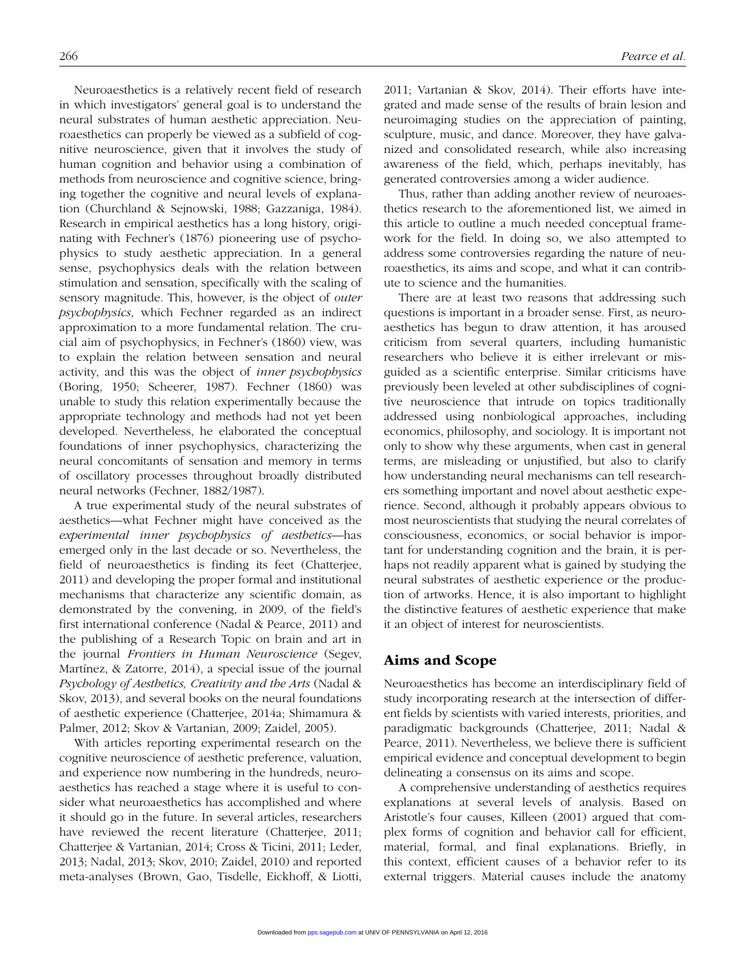Neuroaesthetics is a relatively recent field of research in which investigators' general goal is to understand the neural substrates of human aesthetic appreciation. Neuroaesthetics can properly be viewed as a subfield of cognitive neuroscience, given that it involves the study of human cognition and behavior using a combination of methods from neuroscience and cognitive science, bringing together the cognitive and neural levels of explanation (Churchland & Sejnowski, 1988; Gazzaniga, 1984). Research in empirical aesthetics has a long history, originating with Fechner's (1876) pioneering use of psychophysics to study aesthetic appreciation. In a general sense, psychophysics deals with the relation between stimulation and sensation, specifically with the scaling of sensory magnitude. This, however, is the object of *outer psychophysics*, which Fechner regarded as an indirect approximation to a more fundamental relation. The crucial aim of psychophysics, in Fechner's (1860) view, was to explain the relation between sensation and neural activity, and this was the object of *inner psychophysics* (Boring, 1950; Scheerer, 1987). Fechner (1860) was unable to study this relation experimentally because the appropriate technology and methods had not yet been developed. Nevertheless, he elaborated the conceptual foundations of inner psychophysics, characterizing the neural concomitants of sensation and memory in terms of oscillatory processes throughout broadly distributed neural networks (Fechner, 1882/1987).

A true experimental study of the neural substrates of aesthetics—what Fechner might have conceived as the *experimental inner psychophysics of aesthetics*—has emerged only in the last decade or so. Nevertheless, the field of neuroaesthetics is finding its feet (Chatterjee, 2011) and developing the proper formal and institutional mechanisms that characterize any scientific domain, as demonstrated by the convening, in 2009, of the field's first international conference (Nadal & Pearce, 2011) and the publishing of a Research Topic on brain and art in the journal *Frontiers in Human Neuroscience* (Segev, Martínez, & Zatorre, 2014), a special issue of the journal *Psychology of Aesthetics, Creativity and the Arts* (Nadal & Skov, 2013), and several books on the neural foundations of aesthetic experience (Chatterjee, 2014a; Shimamura & Palmer, 2012; Skov & Vartanian, 2009; Zaidel, 2005).

With articles reporting experimental research on the cognitive neuroscience of aesthetic preference, valuation, and experience now numbering in the hundreds, neuroaesthetics has reached a stage where it is useful to consider what neuroaesthetics has accomplished and where it should go in the future. In several articles, researchers have reviewed the recent literature (Chatterjee, 2011; Chatterjee & Vartanian, 2014; Cross & Ticini, 2011; Leder, 2013; Nadal, 2013; Skov, 2010; Zaidel, 2010) and reported meta-analyses (Brown, Gao, Tisdelle, Eickhoff, & Liotti, 2011; Vartanian & Skov, 2014). Their efforts have integrated and made sense of the results of brain lesion and neuroimaging studies on the appreciation of painting, sculpture, music, and dance. Moreover, they have galvanized and consolidated research, while also increasing awareness of the field, which, perhaps inevitably, has generated controversies among a wider audience.

Thus, rather than adding another review of neuroaesthetics research to the aforementioned list, we aimed in this article to outline a much needed conceptual framework for the field. In doing so, we also attempted to address some controversies regarding the nature of neuroaesthetics, its aims and scope, and what it can contribute to science and the humanities.

There are at least two reasons that addressing such questions is important in a broader sense. First, as neuroaesthetics has begun to draw attention, it has aroused criticism from several quarters, including humanistic researchers who believe it is either irrelevant or misguided as a scientific enterprise. Similar criticisms have previously been leveled at other subdisciplines of cognitive neuroscience that intrude on topics traditionally addressed using nonbiological approaches, including economics, philosophy, and sociology. It is important not only to show why these arguments, when cast in general terms, are misleading or unjustified, but also to clarify how understanding neural mechanisms can tell researchers something important and novel about aesthetic experience. Second, although it probably appears obvious to most neuroscientists that studying the neural correlates of consciousness, economics, or social behavior is important for understanding cognition and the brain, it is perhaps not readily apparent what is gained by studying the neural substrates of aesthetic experience or the production of artworks. Hence, it is also important to highlight the distinctive features of aesthetic experience that make it an object of interest for neuroscientists.

### Aims and Scope

Neuroaesthetics has become an interdisciplinary field of study incorporating research at the intersection of different fields by scientists with varied interests, priorities, and paradigmatic backgrounds (Chatterjee, 2011; Nadal & Pearce, 2011). Nevertheless, we believe there is sufficient empirical evidence and conceptual development to begin delineating a consensus on its aims and scope.

A comprehensive understanding of aesthetics requires explanations at several levels of analysis. Based on Aristotle's four causes, Killeen (2001) argued that complex forms of cognition and behavior call for efficient, material, formal, and final explanations. Briefly, in this context, efficient causes of a behavior refer to its external triggers. Material causes include the anatomy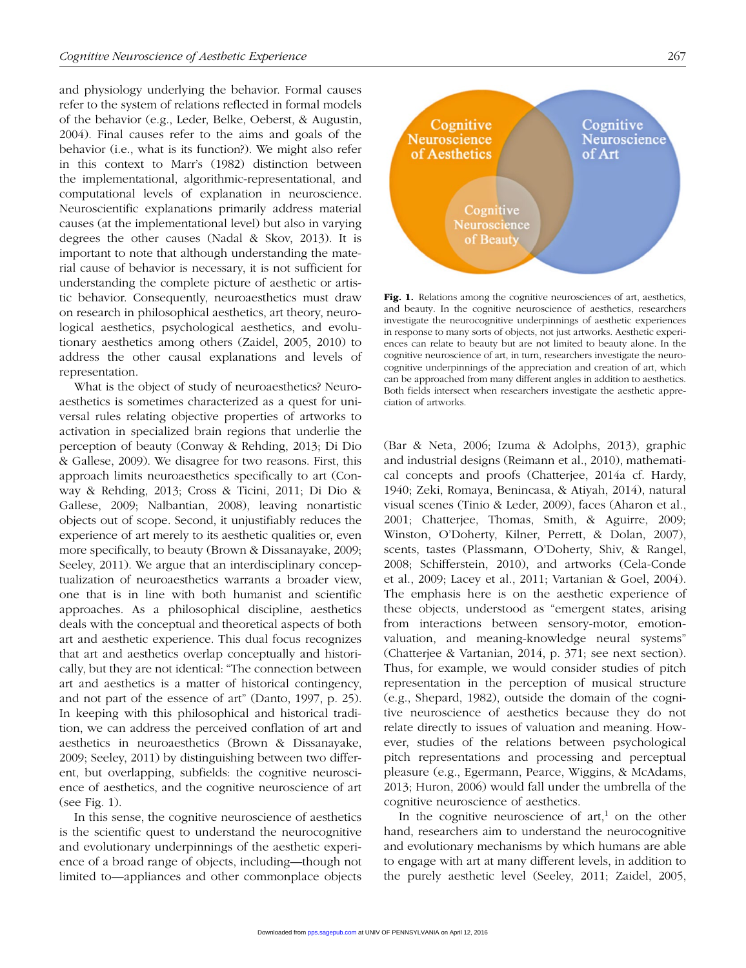and physiology underlying the behavior. Formal causes refer to the system of relations reflected in formal models of the behavior (e.g., Leder, Belke, Oeberst, & Augustin, 2004). Final causes refer to the aims and goals of the behavior (i.e., what is its function?). We might also refer in this context to Marr's (1982) distinction between the implementational, algorithmic-representational, and computational levels of explanation in neuroscience. Neuroscientific explanations primarily address material causes (at the implementational level) but also in varying degrees the other causes (Nadal & Skov, 2013). It is important to note that although understanding the material cause of behavior is necessary, it is not sufficient for understanding the complete picture of aesthetic or artistic behavior. Consequently, neuroaesthetics must draw on research in philosophical aesthetics, art theory, neurological aesthetics, psychological aesthetics, and evolutionary aesthetics among others (Zaidel, 2005, 2010) to address the other causal explanations and levels of representation.

What is the object of study of neuroaesthetics? Neuroaesthetics is sometimes characterized as a quest for universal rules relating objective properties of artworks to activation in specialized brain regions that underlie the perception of beauty (Conway & Rehding, 2013; Di Dio & Gallese, 2009). We disagree for two reasons. First, this approach limits neuroaesthetics specifically to art (Conway & Rehding, 2013; Cross & Ticini, 2011; Di Dio & Gallese, 2009; Nalbantian, 2008), leaving nonartistic objects out of scope. Second, it unjustifiably reduces the experience of art merely to its aesthetic qualities or, even more specifically, to beauty (Brown & Dissanayake, 2009; Seeley, 2011). We argue that an interdisciplinary conceptualization of neuroaesthetics warrants a broader view, one that is in line with both humanist and scientific approaches. As a philosophical discipline, aesthetics deals with the conceptual and theoretical aspects of both art and aesthetic experience. This dual focus recognizes that art and aesthetics overlap conceptually and historically, but they are not identical: "The connection between art and aesthetics is a matter of historical contingency, and not part of the essence of art" (Danto, 1997, p. 25). In keeping with this philosophical and historical tradition, we can address the perceived conflation of art and aesthetics in neuroaesthetics (Brown & Dissanayake, 2009; Seeley, 2011) by distinguishing between two different, but overlapping, subfields: the cognitive neuroscience of aesthetics, and the cognitive neuroscience of art (see Fig. 1).

In this sense, the cognitive neuroscience of aesthetics is the scientific quest to understand the neurocognitive and evolutionary underpinnings of the aesthetic experience of a broad range of objects, including—though not limited to—appliances and other commonplace objects



Fig. 1. Relations among the cognitive neurosciences of art, aesthetics, and beauty. In the cognitive neuroscience of aesthetics, researchers investigate the neurocognitive underpinnings of aesthetic experiences in response to many sorts of objects, not just artworks. Aesthetic experiences can relate to beauty but are not limited to beauty alone. In the cognitive neuroscience of art, in turn, researchers investigate the neurocognitive underpinnings of the appreciation and creation of art, which can be approached from many different angles in addition to aesthetics. Both fields intersect when researchers investigate the aesthetic appreciation of artworks.

(Bar & Neta, 2006; Izuma & Adolphs, 2013), graphic and industrial designs (Reimann et al., 2010), mathematical concepts and proofs (Chatterjee, 2014a cf. Hardy, 1940; Zeki, Romaya, Benincasa, & Atiyah, 2014), natural visual scenes (Tinio & Leder, 2009), faces (Aharon et al., 2001; Chatterjee, Thomas, Smith, & Aguirre, 2009; Winston, O'Doherty, Kilner, Perrett, & Dolan, 2007), scents, tastes (Plassmann, O'Doherty, Shiv, & Rangel, 2008; Schifferstein, 2010), and artworks (Cela-Conde et al., 2009; Lacey et al., 2011; Vartanian & Goel, 2004). The emphasis here is on the aesthetic experience of these objects, understood as "emergent states, arising from interactions between sensory-motor, emotionvaluation, and meaning-knowledge neural systems" (Chatterjee & Vartanian, 2014, p. 371; see next section). Thus, for example, we would consider studies of pitch representation in the perception of musical structure (e.g., Shepard, 1982), outside the domain of the cognitive neuroscience of aesthetics because they do not relate directly to issues of valuation and meaning. However, studies of the relations between psychological pitch representations and processing and perceptual pleasure (e.g., Egermann, Pearce, Wiggins, & McAdams, 2013; Huron, 2006) would fall under the umbrella of the cognitive neuroscience of aesthetics.

In the cognitive neuroscience of  $art<sub>i</sub><sup>1</sup>$  on the other hand, researchers aim to understand the neurocognitive and evolutionary mechanisms by which humans are able to engage with art at many different levels, in addition to the purely aesthetic level (Seeley, 2011; Zaidel, 2005,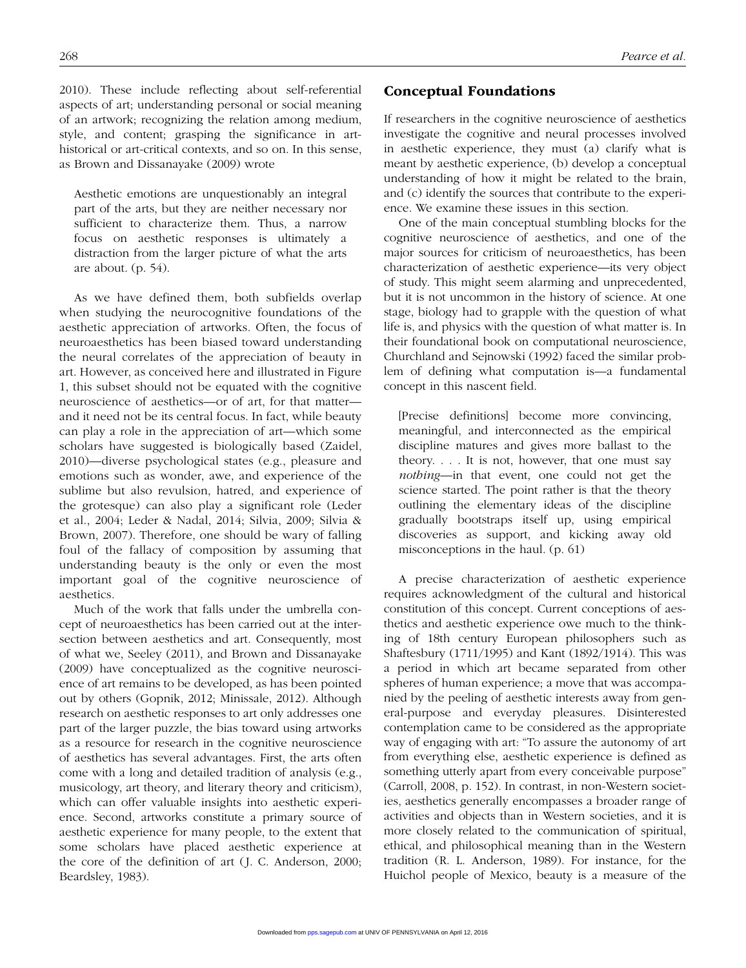2010). These include reflecting about self-referential aspects of art; understanding personal or social meaning of an artwork; recognizing the relation among medium, style, and content; grasping the significance in arthistorical or art-critical contexts, and so on. In this sense, as Brown and Dissanayake (2009) wrote

Aesthetic emotions are unquestionably an integral part of the arts, but they are neither necessary nor sufficient to characterize them. Thus, a narrow focus on aesthetic responses is ultimately a distraction from the larger picture of what the arts are about. (p. 54).

As we have defined them, both subfields overlap when studying the neurocognitive foundations of the aesthetic appreciation of artworks. Often, the focus of neuroaesthetics has been biased toward understanding the neural correlates of the appreciation of beauty in art. However, as conceived here and illustrated in Figure 1, this subset should not be equated with the cognitive neuroscience of aesthetics—or of art, for that matter and it need not be its central focus. In fact, while beauty can play a role in the appreciation of art—which some scholars have suggested is biologically based (Zaidel, 2010)—diverse psychological states (e.g., pleasure and emotions such as wonder, awe, and experience of the sublime but also revulsion, hatred, and experience of the grotesque) can also play a significant role (Leder et al., 2004; Leder & Nadal, 2014; Silvia, 2009; Silvia & Brown, 2007). Therefore, one should be wary of falling foul of the fallacy of composition by assuming that understanding beauty is the only or even the most important goal of the cognitive neuroscience of aesthetics.

Much of the work that falls under the umbrella concept of neuroaesthetics has been carried out at the intersection between aesthetics and art. Consequently, most of what we, Seeley (2011), and Brown and Dissanayake (2009) have conceptualized as the cognitive neuroscience of art remains to be developed, as has been pointed out by others (Gopnik, 2012; Minissale, 2012). Although research on aesthetic responses to art only addresses one part of the larger puzzle, the bias toward using artworks as a resource for research in the cognitive neuroscience of aesthetics has several advantages. First, the arts often come with a long and detailed tradition of analysis (e.g., musicology, art theory, and literary theory and criticism), which can offer valuable insights into aesthetic experience. Second, artworks constitute a primary source of aesthetic experience for many people, to the extent that some scholars have placed aesthetic experience at the core of the definition of art (J. C. Anderson, 2000; Beardsley, 1983).

### Conceptual Foundations

If researchers in the cognitive neuroscience of aesthetics investigate the cognitive and neural processes involved in aesthetic experience, they must (a) clarify what is meant by aesthetic experience, (b) develop a conceptual understanding of how it might be related to the brain, and (c) identify the sources that contribute to the experience. We examine these issues in this section.

One of the main conceptual stumbling blocks for the cognitive neuroscience of aesthetics, and one of the major sources for criticism of neuroaesthetics, has been characterization of aesthetic experience—its very object of study. This might seem alarming and unprecedented, but it is not uncommon in the history of science. At one stage, biology had to grapple with the question of what life is, and physics with the question of what matter is. In their foundational book on computational neuroscience, Churchland and Sejnowski (1992) faced the similar problem of defining what computation is—a fundamental concept in this nascent field.

[Precise definitions] become more convincing, meaningful, and interconnected as the empirical discipline matures and gives more ballast to the theory. . . . It is not, however, that one must say *nothing*—in that event, one could not get the science started. The point rather is that the theory outlining the elementary ideas of the discipline gradually bootstraps itself up, using empirical discoveries as support, and kicking away old misconceptions in the haul. (p. 61)

A precise characterization of aesthetic experience requires acknowledgment of the cultural and historical constitution of this concept. Current conceptions of aesthetics and aesthetic experience owe much to the thinking of 18th century European philosophers such as Shaftesbury (1711/1995) and Kant (1892/1914). This was a period in which art became separated from other spheres of human experience; a move that was accompanied by the peeling of aesthetic interests away from general-purpose and everyday pleasures. Disinterested contemplation came to be considered as the appropriate way of engaging with art: "To assure the autonomy of art from everything else, aesthetic experience is defined as something utterly apart from every conceivable purpose" (Carroll, 2008, p. 152). In contrast, in non-Western societies, aesthetics generally encompasses a broader range of activities and objects than in Western societies, and it is more closely related to the communication of spiritual, ethical, and philosophical meaning than in the Western tradition (R. L. Anderson, 1989). For instance, for the Huichol people of Mexico, beauty is a measure of the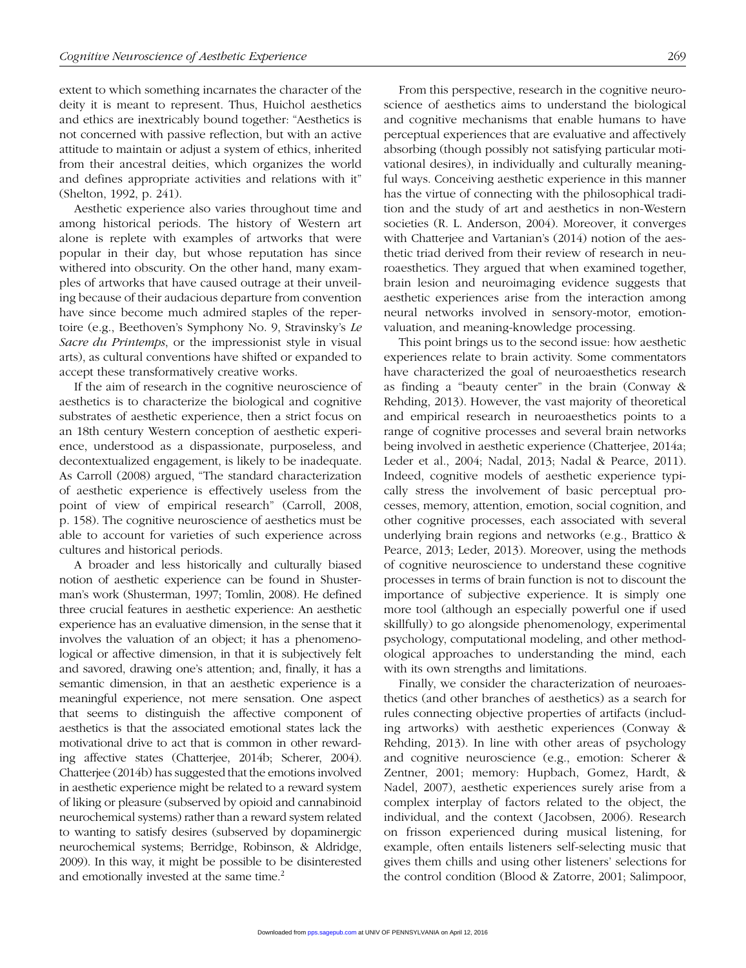extent to which something incarnates the character of the deity it is meant to represent. Thus, Huichol aesthetics and ethics are inextricably bound together: "Aesthetics is not concerned with passive reflection, but with an active attitude to maintain or adjust a system of ethics, inherited from their ancestral deities, which organizes the world and defines appropriate activities and relations with it" (Shelton, 1992, p. 241).

Aesthetic experience also varies throughout time and among historical periods. The history of Western art alone is replete with examples of artworks that were popular in their day, but whose reputation has since withered into obscurity. On the other hand, many examples of artworks that have caused outrage at their unveiling because of their audacious departure from convention have since become much admired staples of the repertoire (e.g., Beethoven's Symphony No. 9, Stravinsky's *Le Sacre du Printemps*, or the impressionist style in visual arts), as cultural conventions have shifted or expanded to accept these transformatively creative works.

If the aim of research in the cognitive neuroscience of aesthetics is to characterize the biological and cognitive substrates of aesthetic experience, then a strict focus on an 18th century Western conception of aesthetic experience, understood as a dispassionate, purposeless, and decontextualized engagement, is likely to be inadequate. As Carroll (2008) argued, "The standard characterization of aesthetic experience is effectively useless from the point of view of empirical research" (Carroll, 2008, p. 158). The cognitive neuroscience of aesthetics must be able to account for varieties of such experience across cultures and historical periods.

A broader and less historically and culturally biased notion of aesthetic experience can be found in Shusterman's work (Shusterman, 1997; Tomlin, 2008). He defined three crucial features in aesthetic experience: An aesthetic experience has an evaluative dimension, in the sense that it involves the valuation of an object; it has a phenomenological or affective dimension, in that it is subjectively felt and savored, drawing one's attention; and, finally, it has a semantic dimension, in that an aesthetic experience is a meaningful experience, not mere sensation. One aspect that seems to distinguish the affective component of aesthetics is that the associated emotional states lack the motivational drive to act that is common in other rewarding affective states (Chatterjee, 2014b; Scherer, 2004). Chatterjee (2014b) has suggested that the emotions involved in aesthetic experience might be related to a reward system of liking or pleasure (subserved by opioid and cannabinoid neurochemical systems) rather than a reward system related to wanting to satisfy desires (subserved by dopaminergic neurochemical systems; Berridge, Robinson, & Aldridge, 2009). In this way, it might be possible to be disinterested and emotionally invested at the same time.<sup>2</sup>

From this perspective, research in the cognitive neuroscience of aesthetics aims to understand the biological and cognitive mechanisms that enable humans to have perceptual experiences that are evaluative and affectively absorbing (though possibly not satisfying particular motivational desires), in individually and culturally meaningful ways. Conceiving aesthetic experience in this manner has the virtue of connecting with the philosophical tradition and the study of art and aesthetics in non-Western societies (R. L. Anderson, 2004). Moreover, it converges with Chatterjee and Vartanian's (2014) notion of the aesthetic triad derived from their review of research in neuroaesthetics. They argued that when examined together, brain lesion and neuroimaging evidence suggests that aesthetic experiences arise from the interaction among neural networks involved in sensory-motor, emotionvaluation, and meaning-knowledge processing.

This point brings us to the second issue: how aesthetic experiences relate to brain activity. Some commentators have characterized the goal of neuroaesthetics research as finding a "beauty center" in the brain (Conway & Rehding, 2013). However, the vast majority of theoretical and empirical research in neuroaesthetics points to a range of cognitive processes and several brain networks being involved in aesthetic experience (Chatterjee, 2014a; Leder et al., 2004; Nadal, 2013; Nadal & Pearce, 2011). Indeed, cognitive models of aesthetic experience typically stress the involvement of basic perceptual processes, memory, attention, emotion, social cognition, and other cognitive processes, each associated with several underlying brain regions and networks (e.g., Brattico & Pearce, 2013; Leder, 2013). Moreover, using the methods of cognitive neuroscience to understand these cognitive processes in terms of brain function is not to discount the importance of subjective experience. It is simply one more tool (although an especially powerful one if used skillfully) to go alongside phenomenology, experimental psychology, computational modeling, and other methodological approaches to understanding the mind, each with its own strengths and limitations.

Finally, we consider the characterization of neuroaesthetics (and other branches of aesthetics) as a search for rules connecting objective properties of artifacts (including artworks) with aesthetic experiences (Conway & Rehding, 2013). In line with other areas of psychology and cognitive neuroscience (e.g., emotion: Scherer & Zentner, 2001; memory: Hupbach, Gomez, Hardt, & Nadel, 2007), aesthetic experiences surely arise from a complex interplay of factors related to the object, the individual, and the context (Jacobsen, 2006). Research on frisson experienced during musical listening, for example, often entails listeners self-selecting music that gives them chills and using other listeners' selections for the control condition (Blood & Zatorre, 2001; Salimpoor,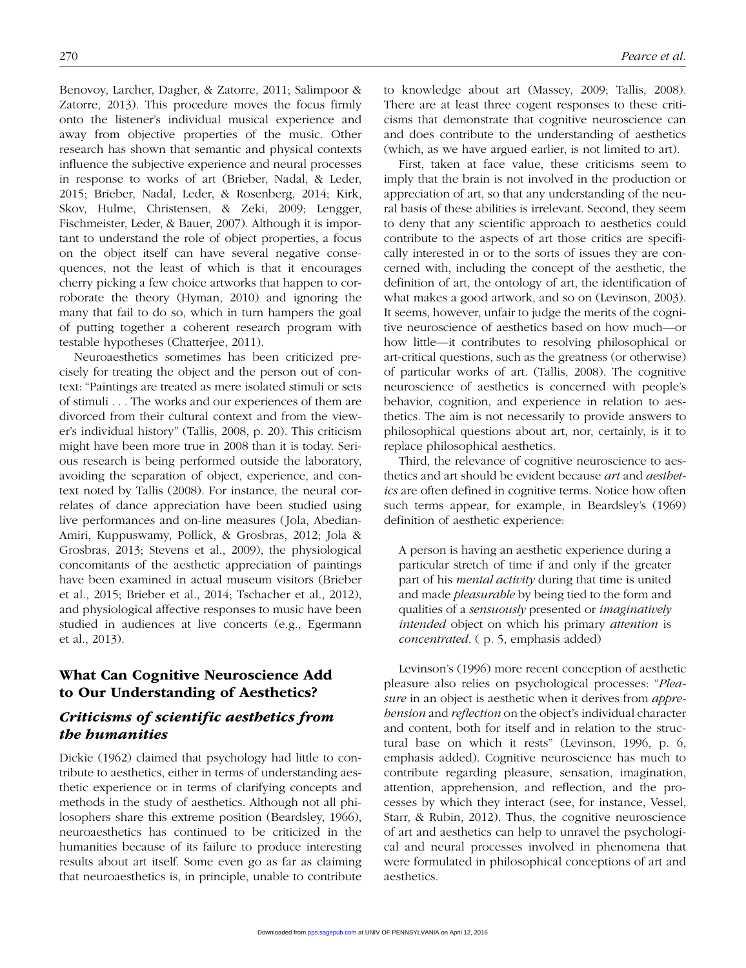Benovoy, Larcher, Dagher, & Zatorre, 2011; Salimpoor & Zatorre, 2013). This procedure moves the focus firmly onto the listener's individual musical experience and away from objective properties of the music. Other research has shown that semantic and physical contexts influence the subjective experience and neural processes in response to works of art (Brieber, Nadal, & Leder, 2015; Brieber, Nadal, Leder, & Rosenberg, 2014; Kirk, Skov, Hulme, Christensen, & Zeki, 2009; Lengger, Fischmeister, Leder, & Bauer, 2007). Although it is important to understand the role of object properties, a focus on the object itself can have several negative consequences, not the least of which is that it encourages cherry picking a few choice artworks that happen to corroborate the theory (Hyman, 2010) and ignoring the many that fail to do so, which in turn hampers the goal of putting together a coherent research program with testable hypotheses (Chatterjee, 2011).

Neuroaesthetics sometimes has been criticized precisely for treating the object and the person out of context: "Paintings are treated as mere isolated stimuli or sets of stimuli . . . The works and our experiences of them are divorced from their cultural context and from the viewer's individual history" (Tallis, 2008, p. 20). This criticism might have been more true in 2008 than it is today. Serious research is being performed outside the laboratory, avoiding the separation of object, experience, and context noted by Tallis (2008). For instance, the neural correlates of dance appreciation have been studied using live performances and on-line measures (Jola, Abedian-Amiri, Kuppuswamy, Pollick, & Grosbras, 2012; Jola & Grosbras, 2013; Stevens et al., 2009), the physiological concomitants of the aesthetic appreciation of paintings have been examined in actual museum visitors (Brieber et al., 2015; Brieber et al., 2014; Tschacher et al., 2012), and physiological affective responses to music have been studied in audiences at live concerts (e.g., Egermann et al., 2013).

## What Can Cognitive Neuroscience Add to Our Understanding of Aesthetics?

### *Criticisms of scientific aesthetics from the humanities*

Dickie (1962) claimed that psychology had little to contribute to aesthetics, either in terms of understanding aesthetic experience or in terms of clarifying concepts and methods in the study of aesthetics. Although not all philosophers share this extreme position (Beardsley, 1966), neuroaesthetics has continued to be criticized in the humanities because of its failure to produce interesting results about art itself. Some even go as far as claiming that neuroaesthetics is, in principle, unable to contribute to knowledge about art (Massey, 2009; Tallis, 2008). There are at least three cogent responses to these criticisms that demonstrate that cognitive neuroscience can and does contribute to the understanding of aesthetics (which, as we have argued earlier, is not limited to art).

First, taken at face value, these criticisms seem to imply that the brain is not involved in the production or appreciation of art, so that any understanding of the neural basis of these abilities is irrelevant. Second, they seem to deny that any scientific approach to aesthetics could contribute to the aspects of art those critics are specifically interested in or to the sorts of issues they are concerned with, including the concept of the aesthetic, the definition of art, the ontology of art, the identification of what makes a good artwork, and so on (Levinson, 2003). It seems, however, unfair to judge the merits of the cognitive neuroscience of aesthetics based on how much—or how little—it contributes to resolving philosophical or art-critical questions, such as the greatness (or otherwise) of particular works of art. (Tallis, 2008). The cognitive neuroscience of aesthetics is concerned with people's behavior, cognition, and experience in relation to aesthetics. The aim is not necessarily to provide answers to philosophical questions about art, nor, certainly, is it to replace philosophical aesthetics.

Third, the relevance of cognitive neuroscience to aesthetics and art should be evident because *art* and *aesthetics* are often defined in cognitive terms. Notice how often such terms appear, for example, in Beardsley's (1969) definition of aesthetic experience:

A person is having an aesthetic experience during a particular stretch of time if and only if the greater part of his *mental activity* during that time is united and made *pleasurable* by being tied to the form and qualities of a *sensuously* presented or *imaginatively intended* object on which his primary *attention* is *concentrated*. ( p. 5, emphasis added)

Levinson's (1996) more recent conception of aesthetic pleasure also relies on psychological processes: "*Pleasure* in an object is aesthetic when it derives from *apprehension* and *reflection* on the object's individual character and content, both for itself and in relation to the structural base on which it rests" (Levinson, 1996, p. 6, emphasis added). Cognitive neuroscience has much to contribute regarding pleasure, sensation, imagination, attention, apprehension, and reflection, and the processes by which they interact (see, for instance, Vessel, Starr, & Rubin, 2012). Thus, the cognitive neuroscience of art and aesthetics can help to unravel the psychological and neural processes involved in phenomena that were formulated in philosophical conceptions of art and aesthetics.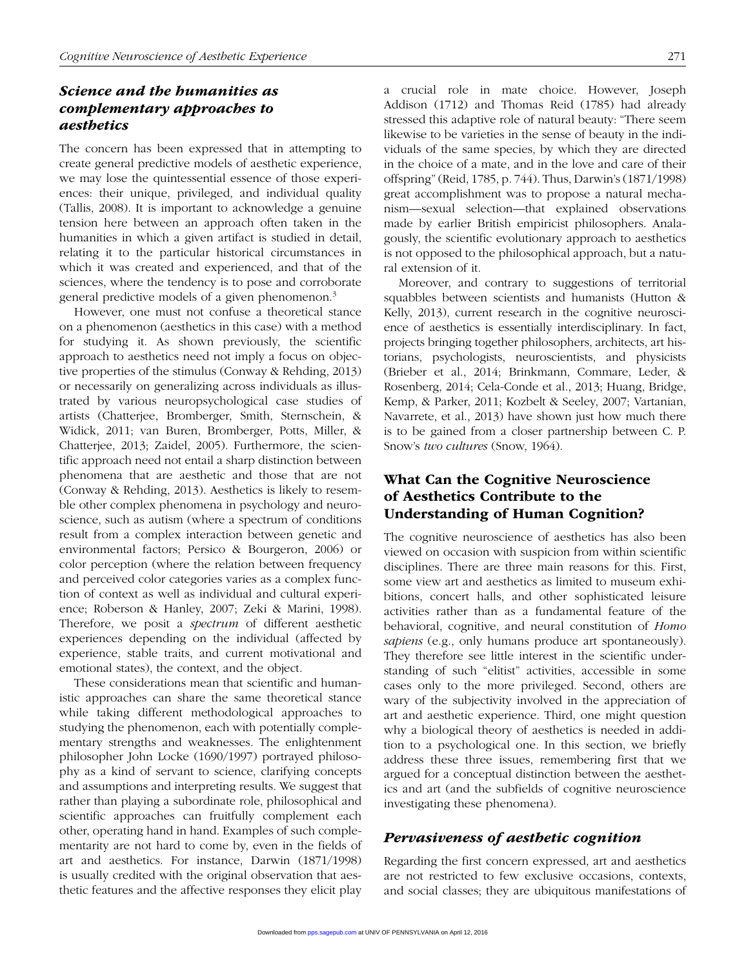# *Science and the humanities as complementary approaches to aesthetics*

The concern has been expressed that in attempting to create general predictive models of aesthetic experience, we may lose the quintessential essence of those experiences: their unique, privileged, and individual quality (Tallis, 2008). It is important to acknowledge a genuine tension here between an approach often taken in the humanities in which a given artifact is studied in detail, relating it to the particular historical circumstances in which it was created and experienced, and that of the sciences, where the tendency is to pose and corroborate general predictive models of a given phenomenon.<sup>3</sup>

However, one must not confuse a theoretical stance on a phenomenon (aesthetics in this case) with a method for studying it. As shown previously, the scientific approach to aesthetics need not imply a focus on objective properties of the stimulus (Conway & Rehding, 2013) or necessarily on generalizing across individuals as illustrated by various neuropsychological case studies of artists (Chatterjee, Bromberger, Smith, Sternschein, & Widick, 2011; van Buren, Bromberger, Potts, Miller, & Chatterjee, 2013; Zaidel, 2005). Furthermore, the scientific approach need not entail a sharp distinction between phenomena that are aesthetic and those that are not (Conway & Rehding, 2013). Aesthetics is likely to resemble other complex phenomena in psychology and neuroscience, such as autism (where a spectrum of conditions result from a complex interaction between genetic and environmental factors; Persico & Bourgeron, 2006) or color perception (where the relation between frequency and perceived color categories varies as a complex function of context as well as individual and cultural experience; Roberson & Hanley, 2007; Zeki & Marini, 1998). Therefore, we posit a *spectrum* of different aesthetic experiences depending on the individual (affected by experience, stable traits, and current motivational and emotional states), the context, and the object.

These considerations mean that scientific and humanistic approaches can share the same theoretical stance while taking different methodological approaches to studying the phenomenon, each with potentially complementary strengths and weaknesses. The enlightenment philosopher John Locke (1690/1997) portrayed philosophy as a kind of servant to science, clarifying concepts and assumptions and interpreting results. We suggest that rather than playing a subordinate role, philosophical and scientific approaches can fruitfully complement each other, operating hand in hand. Examples of such complementarity are not hard to come by, even in the fields of art and aesthetics. For instance, Darwin (1871/1998) is usually credited with the original observation that aesthetic features and the affective responses they elicit play

a crucial role in mate choice. However, Joseph Addison (1712) and Thomas Reid (1785) had already stressed this adaptive role of natural beauty: "There seem likewise to be varieties in the sense of beauty in the individuals of the same species, by which they are directed in the choice of a mate, and in the love and care of their offspring" (Reid, 1785, p. 744). Thus, Darwin's (1871/1998) great accomplishment was to propose a natural mechanism—sexual selection—that explained observations made by earlier British empiricist philosophers. Analagously, the scientific evolutionary approach to aesthetics is not opposed to the philosophical approach, but a natu-

Moreover, and contrary to suggestions of territorial squabbles between scientists and humanists (Hutton & Kelly, 2013), current research in the cognitive neuroscience of aesthetics is essentially interdisciplinary. In fact, projects bringing together philosophers, architects, art historians, psychologists, neuroscientists, and physicists (Brieber et al., 2014; Brinkmann, Commare, Leder, & Rosenberg, 2014; Cela-Conde et al., 2013; Huang, Bridge, Kemp, & Parker, 2011; Kozbelt & Seeley, 2007; Vartanian, Navarrete, et al., 2013) have shown just how much there is to be gained from a closer partnership between C. P. Snow's *two cultures* (Snow, 1964).

ral extension of it.

# What Can the Cognitive Neuroscience of Aesthetics Contribute to the Understanding of Human Cognition?

The cognitive neuroscience of aesthetics has also been viewed on occasion with suspicion from within scientific disciplines. There are three main reasons for this. First, some view art and aesthetics as limited to museum exhibitions, concert halls, and other sophisticated leisure activities rather than as a fundamental feature of the behavioral, cognitive, and neural constitution of *Homo sapiens* (e.g., only humans produce art spontaneously). They therefore see little interest in the scientific understanding of such "elitist" activities, accessible in some cases only to the more privileged. Second, others are wary of the subjectivity involved in the appreciation of art and aesthetic experience. Third, one might question why a biological theory of aesthetics is needed in addition to a psychological one. In this section, we briefly address these three issues, remembering first that we argued for a conceptual distinction between the aesthetics and art (and the subfields of cognitive neuroscience investigating these phenomena).

### *Pervasiveness of aesthetic cognition*

Regarding the first concern expressed, art and aesthetics are not restricted to few exclusive occasions, contexts, and social classes; they are ubiquitous manifestations of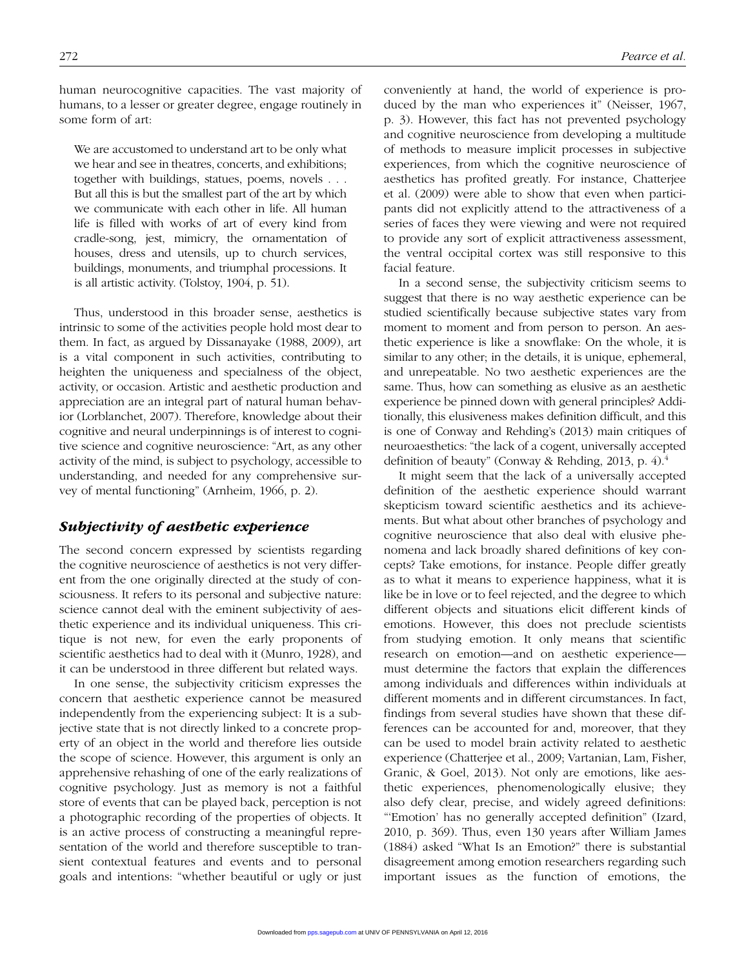human neurocognitive capacities. The vast majority of humans, to a lesser or greater degree, engage routinely in some form of art:

We are accustomed to understand art to be only what we hear and see in theatres, concerts, and exhibitions; together with buildings, statues, poems, novels . . . But all this is but the smallest part of the art by which we communicate with each other in life. All human life is filled with works of art of every kind from cradle-song, jest, mimicry, the ornamentation of houses, dress and utensils, up to church services, buildings, monuments, and triumphal processions. It is all artistic activity. (Tolstoy, 1904, p. 51).

Thus, understood in this broader sense, aesthetics is intrinsic to some of the activities people hold most dear to them. In fact, as argued by Dissanayake (1988, 2009), art is a vital component in such activities, contributing to heighten the uniqueness and specialness of the object, activity, or occasion. Artistic and aesthetic production and appreciation are an integral part of natural human behavior (Lorblanchet, 2007). Therefore, knowledge about their cognitive and neural underpinnings is of interest to cognitive science and cognitive neuroscience: "Art, as any other activity of the mind, is subject to psychology, accessible to understanding, and needed for any comprehensive survey of mental functioning" (Arnheim, 1966, p. 2).

### *Subjectivity of aesthetic experience*

The second concern expressed by scientists regarding the cognitive neuroscience of aesthetics is not very different from the one originally directed at the study of consciousness. It refers to its personal and subjective nature: science cannot deal with the eminent subjectivity of aesthetic experience and its individual uniqueness. This critique is not new, for even the early proponents of scientific aesthetics had to deal with it (Munro, 1928), and it can be understood in three different but related ways.

In one sense, the subjectivity criticism expresses the concern that aesthetic experience cannot be measured independently from the experiencing subject: It is a subjective state that is not directly linked to a concrete property of an object in the world and therefore lies outside the scope of science. However, this argument is only an apprehensive rehashing of one of the early realizations of cognitive psychology. Just as memory is not a faithful store of events that can be played back, perception is not a photographic recording of the properties of objects. It is an active process of constructing a meaningful representation of the world and therefore susceptible to transient contextual features and events and to personal goals and intentions: "whether beautiful or ugly or just

conveniently at hand, the world of experience is produced by the man who experiences it" (Neisser, 1967, p. 3). However, this fact has not prevented psychology and cognitive neuroscience from developing a multitude of methods to measure implicit processes in subjective experiences, from which the cognitive neuroscience of aesthetics has profited greatly. For instance, Chatterjee et al. (2009) were able to show that even when participants did not explicitly attend to the attractiveness of a series of faces they were viewing and were not required to provide any sort of explicit attractiveness assessment, the ventral occipital cortex was still responsive to this facial feature.

In a second sense, the subjectivity criticism seems to suggest that there is no way aesthetic experience can be studied scientifically because subjective states vary from moment to moment and from person to person. An aesthetic experience is like a snowflake: On the whole, it is similar to any other; in the details, it is unique, ephemeral, and unrepeatable. No two aesthetic experiences are the same. Thus, how can something as elusive as an aesthetic experience be pinned down with general principles? Additionally, this elusiveness makes definition difficult, and this is one of Conway and Rehding's (2013) main critiques of neuroaesthetics: "the lack of a cogent, universally accepted definition of beauty" (Conway & Rehding, 2013, p.  $4$ ).<sup>4</sup>

It might seem that the lack of a universally accepted definition of the aesthetic experience should warrant skepticism toward scientific aesthetics and its achievements. But what about other branches of psychology and cognitive neuroscience that also deal with elusive phenomena and lack broadly shared definitions of key concepts? Take emotions, for instance. People differ greatly as to what it means to experience happiness, what it is like be in love or to feel rejected, and the degree to which different objects and situations elicit different kinds of emotions. However, this does not preclude scientists from studying emotion. It only means that scientific research on emotion—and on aesthetic experience must determine the factors that explain the differences among individuals and differences within individuals at different moments and in different circumstances. In fact, findings from several studies have shown that these differences can be accounted for and, moreover, that they can be used to model brain activity related to aesthetic experience (Chatterjee et al., 2009; Vartanian, Lam, Fisher, Granic, & Goel, 2013). Not only are emotions, like aesthetic experiences, phenomenologically elusive; they also defy clear, precise, and widely agreed definitions: "'Emotion' has no generally accepted definition" (Izard, 2010, p. 369). Thus, even 130 years after William James (1884) asked "What Is an Emotion?" there is substantial disagreement among emotion researchers regarding such important issues as the function of emotions, the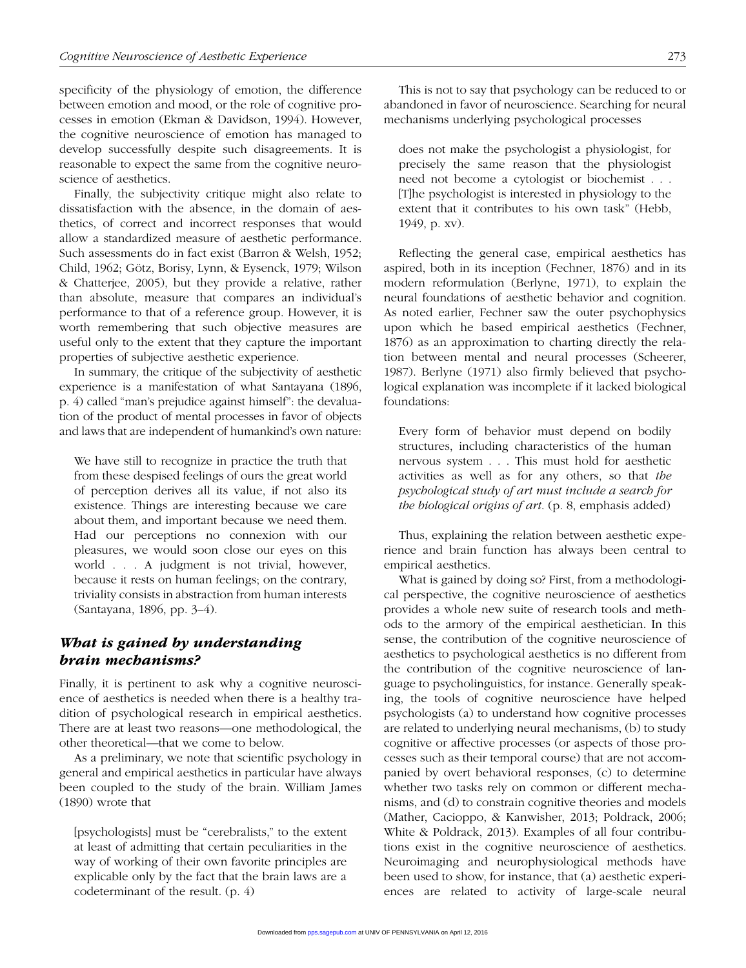specificity of the physiology of emotion, the difference between emotion and mood, or the role of cognitive processes in emotion (Ekman & Davidson, 1994). However, the cognitive neuroscience of emotion has managed to develop successfully despite such disagreements. It is reasonable to expect the same from the cognitive neuroscience of aesthetics.

Finally, the subjectivity critique might also relate to dissatisfaction with the absence, in the domain of aesthetics, of correct and incorrect responses that would allow a standardized measure of aesthetic performance. Such assessments do in fact exist (Barron & Welsh, 1952; Child, 1962; Götz, Borisy, Lynn, & Eysenck, 1979; Wilson & Chatterjee, 2005), but they provide a relative, rather than absolute, measure that compares an individual's performance to that of a reference group. However, it is worth remembering that such objective measures are useful only to the extent that they capture the important properties of subjective aesthetic experience.

In summary, the critique of the subjectivity of aesthetic experience is a manifestation of what Santayana (1896, p. 4) called "man's prejudice against himself": the devaluation of the product of mental processes in favor of objects and laws that are independent of humankind's own nature:

We have still to recognize in practice the truth that from these despised feelings of ours the great world of perception derives all its value, if not also its existence. Things are interesting because we care about them, and important because we need them. Had our perceptions no connexion with our pleasures, we would soon close our eyes on this world . . . A judgment is not trivial, however, because it rests on human feelings; on the contrary, triviality consists in abstraction from human interests (Santayana, 1896, pp. 3–4).

## *What is gained by understanding brain mechanisms?*

Finally, it is pertinent to ask why a cognitive neuroscience of aesthetics is needed when there is a healthy tradition of psychological research in empirical aesthetics. There are at least two reasons—one methodological, the other theoretical—that we come to below.

As a preliminary, we note that scientific psychology in general and empirical aesthetics in particular have always been coupled to the study of the brain. William James (1890) wrote that

[psychologists] must be "cerebralists," to the extent at least of admitting that certain peculiarities in the way of working of their own favorite principles are explicable only by the fact that the brain laws are a codeterminant of the result. (p. 4)

This is not to say that psychology can be reduced to or abandoned in favor of neuroscience. Searching for neural mechanisms underlying psychological processes

does not make the psychologist a physiologist, for precisely the same reason that the physiologist need not become a cytologist or biochemist . . . [T]he psychologist is interested in physiology to the extent that it contributes to his own task" (Hebb, 1949, p. xv).

Reflecting the general case, empirical aesthetics has aspired, both in its inception (Fechner, 1876) and in its modern reformulation (Berlyne, 1971), to explain the neural foundations of aesthetic behavior and cognition. As noted earlier, Fechner saw the outer psychophysics upon which he based empirical aesthetics (Fechner, 1876) as an approximation to charting directly the relation between mental and neural processes (Scheerer, 1987). Berlyne (1971) also firmly believed that psychological explanation was incomplete if it lacked biological foundations:

Every form of behavior must depend on bodily structures, including characteristics of the human nervous system . . . This must hold for aesthetic activities as well as for any others, so that *the psychological study of art must include a search for the biological origins of art*. (p. 8, emphasis added)

Thus, explaining the relation between aesthetic experience and brain function has always been central to empirical aesthetics.

What is gained by doing so? First, from a methodological perspective, the cognitive neuroscience of aesthetics provides a whole new suite of research tools and methods to the armory of the empirical aesthetician. In this sense, the contribution of the cognitive neuroscience of aesthetics to psychological aesthetics is no different from the contribution of the cognitive neuroscience of language to psycholinguistics, for instance. Generally speaking, the tools of cognitive neuroscience have helped psychologists (a) to understand how cognitive processes are related to underlying neural mechanisms, (b) to study cognitive or affective processes (or aspects of those processes such as their temporal course) that are not accompanied by overt behavioral responses, (c) to determine whether two tasks rely on common or different mechanisms, and (d) to constrain cognitive theories and models (Mather, Cacioppo, & Kanwisher, 2013; Poldrack, 2006; White & Poldrack, 2013). Examples of all four contributions exist in the cognitive neuroscience of aesthetics. Neuroimaging and neurophysiological methods have been used to show, for instance, that (a) aesthetic experiences are related to activity of large-scale neural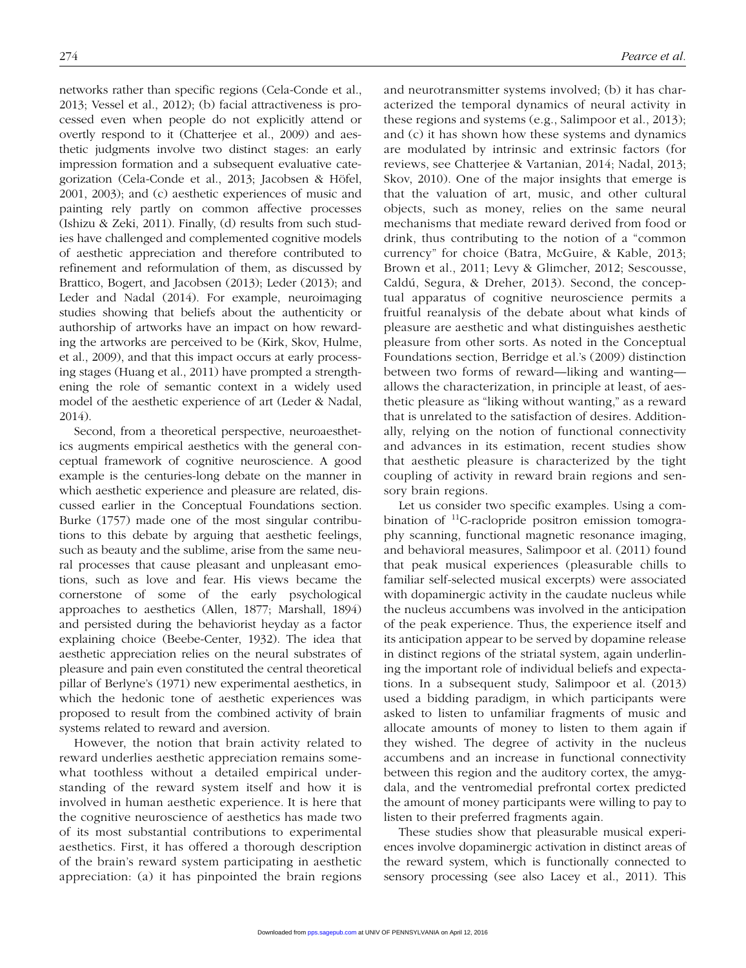networks rather than specific regions (Cela-Conde et al., 2013; Vessel et al., 2012); (b) facial attractiveness is processed even when people do not explicitly attend or overtly respond to it (Chatterjee et al., 2009) and aesthetic judgments involve two distinct stages: an early impression formation and a subsequent evaluative categorization (Cela-Conde et al., 2013; Jacobsen & Höfel, 2001, 2003); and (c) aesthetic experiences of music and painting rely partly on common affective processes (Ishizu & Zeki, 2011). Finally, (d) results from such studies have challenged and complemented cognitive models of aesthetic appreciation and therefore contributed to refinement and reformulation of them, as discussed by Brattico, Bogert, and Jacobsen (2013); Leder (2013); and Leder and Nadal (2014). For example, neuroimaging studies showing that beliefs about the authenticity or authorship of artworks have an impact on how rewarding the artworks are perceived to be (Kirk, Skov, Hulme, et al., 2009), and that this impact occurs at early processing stages (Huang et al., 2011) have prompted a strengthening the role of semantic context in a widely used model of the aesthetic experience of art (Leder & Nadal, 2014).

Second, from a theoretical perspective, neuroaesthetics augments empirical aesthetics with the general conceptual framework of cognitive neuroscience. A good example is the centuries-long debate on the manner in which aesthetic experience and pleasure are related, discussed earlier in the Conceptual Foundations section. Burke (1757) made one of the most singular contributions to this debate by arguing that aesthetic feelings, such as beauty and the sublime, arise from the same neural processes that cause pleasant and unpleasant emotions, such as love and fear. His views became the cornerstone of some of the early psychological approaches to aesthetics (Allen, 1877; Marshall, 1894) and persisted during the behaviorist heyday as a factor explaining choice (Beebe-Center, 1932). The idea that aesthetic appreciation relies on the neural substrates of pleasure and pain even constituted the central theoretical pillar of Berlyne's (1971) new experimental aesthetics, in which the hedonic tone of aesthetic experiences was proposed to result from the combined activity of brain systems related to reward and aversion.

However, the notion that brain activity related to reward underlies aesthetic appreciation remains somewhat toothless without a detailed empirical understanding of the reward system itself and how it is involved in human aesthetic experience. It is here that the cognitive neuroscience of aesthetics has made two of its most substantial contributions to experimental aesthetics. First, it has offered a thorough description of the brain's reward system participating in aesthetic appreciation: (a) it has pinpointed the brain regions and neurotransmitter systems involved; (b) it has characterized the temporal dynamics of neural activity in these regions and systems (e.g., Salimpoor et al., 2013); and (c) it has shown how these systems and dynamics are modulated by intrinsic and extrinsic factors (for reviews, see Chatterjee & Vartanian, 2014; Nadal, 2013; Skov, 2010). One of the major insights that emerge is that the valuation of art, music, and other cultural objects, such as money, relies on the same neural mechanisms that mediate reward derived from food or drink, thus contributing to the notion of a "common currency" for choice (Batra, McGuire, & Kable, 2013; Brown et al., 2011; Levy & Glimcher, 2012; Sescousse, Caldú, Segura, & Dreher, 2013). Second, the conceptual apparatus of cognitive neuroscience permits a fruitful reanalysis of the debate about what kinds of pleasure are aesthetic and what distinguishes aesthetic pleasure from other sorts. As noted in the Conceptual Foundations section, Berridge et al.'s (2009) distinction between two forms of reward—liking and wanting allows the characterization, in principle at least, of aesthetic pleasure as "liking without wanting," as a reward that is unrelated to the satisfaction of desires. Additionally, relying on the notion of functional connectivity and advances in its estimation, recent studies show that aesthetic pleasure is characterized by the tight coupling of activity in reward brain regions and sensory brain regions.

Let us consider two specific examples. Using a combination of <sup>11</sup>C-raclopride positron emission tomography scanning, functional magnetic resonance imaging, and behavioral measures, Salimpoor et al. (2011) found that peak musical experiences (pleasurable chills to familiar self-selected musical excerpts) were associated with dopaminergic activity in the caudate nucleus while the nucleus accumbens was involved in the anticipation of the peak experience. Thus, the experience itself and its anticipation appear to be served by dopamine release in distinct regions of the striatal system, again underlining the important role of individual beliefs and expectations. In a subsequent study, Salimpoor et al. (2013) used a bidding paradigm, in which participants were asked to listen to unfamiliar fragments of music and allocate amounts of money to listen to them again if they wished. The degree of activity in the nucleus accumbens and an increase in functional connectivity between this region and the auditory cortex, the amygdala, and the ventromedial prefrontal cortex predicted the amount of money participants were willing to pay to listen to their preferred fragments again.

These studies show that pleasurable musical experiences involve dopaminergic activation in distinct areas of the reward system, which is functionally connected to sensory processing (see also Lacey et al., 2011). This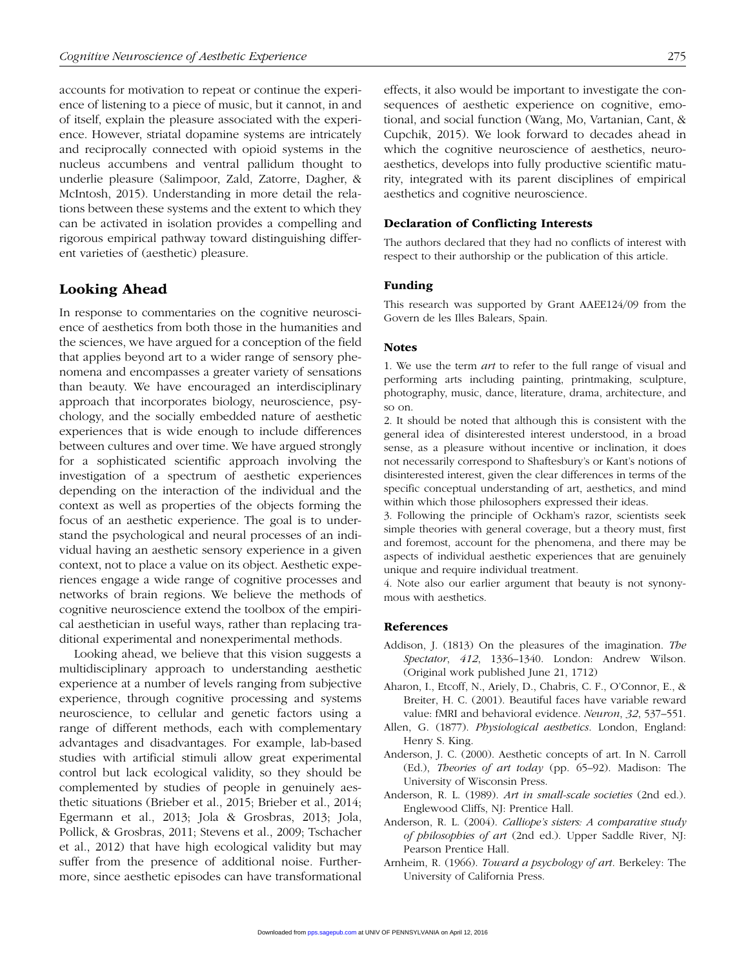accounts for motivation to repeat or continue the experience of listening to a piece of music, but it cannot, in and of itself, explain the pleasure associated with the experience. However, striatal dopamine systems are intricately and reciprocally connected with opioid systems in the nucleus accumbens and ventral pallidum thought to underlie pleasure (Salimpoor, Zald, Zatorre, Dagher, & McIntosh, 2015). Understanding in more detail the relations between these systems and the extent to which they can be activated in isolation provides a compelling and rigorous empirical pathway toward distinguishing different varieties of (aesthetic) pleasure.

### Looking Ahead

In response to commentaries on the cognitive neuroscience of aesthetics from both those in the humanities and the sciences, we have argued for a conception of the field that applies beyond art to a wider range of sensory phenomena and encompasses a greater variety of sensations than beauty. We have encouraged an interdisciplinary approach that incorporates biology, neuroscience, psychology, and the socially embedded nature of aesthetic experiences that is wide enough to include differences between cultures and over time. We have argued strongly for a sophisticated scientific approach involving the investigation of a spectrum of aesthetic experiences depending on the interaction of the individual and the context as well as properties of the objects forming the focus of an aesthetic experience. The goal is to understand the psychological and neural processes of an individual having an aesthetic sensory experience in a given context, not to place a value on its object. Aesthetic experiences engage a wide range of cognitive processes and networks of brain regions. We believe the methods of cognitive neuroscience extend the toolbox of the empirical aesthetician in useful ways, rather than replacing traditional experimental and nonexperimental methods.

Looking ahead, we believe that this vision suggests a multidisciplinary approach to understanding aesthetic experience at a number of levels ranging from subjective experience, through cognitive processing and systems neuroscience, to cellular and genetic factors using a range of different methods, each with complementary advantages and disadvantages. For example, lab-based studies with artificial stimuli allow great experimental control but lack ecological validity, so they should be complemented by studies of people in genuinely aesthetic situations (Brieber et al., 2015; Brieber et al., 2014; Egermann et al., 2013; Jola & Grosbras, 2013; Jola, Pollick, & Grosbras, 2011; Stevens et al., 2009; Tschacher et al., 2012) that have high ecological validity but may suffer from the presence of additional noise. Furthermore, since aesthetic episodes can have transformational

effects, it also would be important to investigate the consequences of aesthetic experience on cognitive, emotional, and social function (Wang, Mo, Vartanian, Cant, & Cupchik, 2015). We look forward to decades ahead in which the cognitive neuroscience of aesthetics, neuroaesthetics, develops into fully productive scientific maturity, integrated with its parent disciplines of empirical aesthetics and cognitive neuroscience.

#### Declaration of Conflicting Interests

The authors declared that they had no conflicts of interest with respect to their authorship or the publication of this article.

#### Funding

This research was supported by Grant AAEE124/09 from the Govern de les Illes Balears, Spain.

#### Notes

1. We use the term *art* to refer to the full range of visual and performing arts including painting, printmaking, sculpture, photography, music, dance, literature, drama, architecture, and so on.

2. It should be noted that although this is consistent with the general idea of disinterested interest understood, in a broad sense, as a pleasure without incentive or inclination, it does not necessarily correspond to Shaftesbury's or Kant's notions of disinterested interest, given the clear differences in terms of the specific conceptual understanding of art, aesthetics, and mind within which those philosophers expressed their ideas.

3. Following the principle of Ockham's razor, scientists seek simple theories with general coverage, but a theory must, first and foremost, account for the phenomena, and there may be aspects of individual aesthetic experiences that are genuinely unique and require individual treatment.

4. Note also our earlier argument that beauty is not synonymous with aesthetics.

#### References

- Addison, J. (1813) On the pleasures of the imagination. *The Spectator*, *412*, 1336–1340. London: Andrew Wilson. (Original work published June 21, 1712)
- Aharon, I., Etcoff, N., Ariely, D., Chabris, C. F., O'Connor, E., & Breiter, H. C. (2001). Beautiful faces have variable reward value: fMRI and behavioral evidence. *Neuron*, *32*, 537–551.
- Allen, G. (1877). *Physiological aesthetics*. London, England: Henry S. King.
- Anderson, J. C. (2000). Aesthetic concepts of art. In N. Carroll (Ed.), *Theories of art today* (pp. 65–92). Madison: The University of Wisconsin Press.
- Anderson, R. L. (1989). *Art in small-scale societies* (2nd ed.). Englewood Cliffs, NJ: Prentice Hall.
- Anderson, R. L. (2004). *Calliope's sisters: A comparative study of philosophies of art* (2nd ed.). Upper Saddle River, NJ: Pearson Prentice Hall.
- Arnheim, R. (1966). *Toward a psychology of art*. Berkeley: The University of California Press.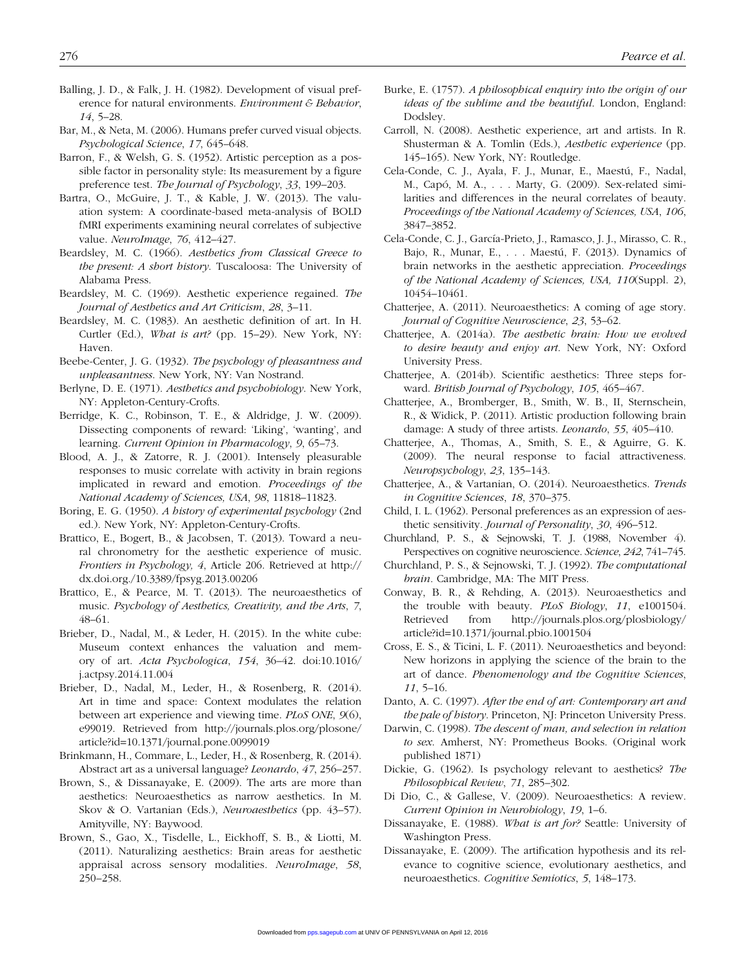- Balling, J. D., & Falk, J. H. (1982). Development of visual preference for natural environments. *Environment & Behavior*, *14*, 5–28.
- Bar, M., & Neta, M. (2006). Humans prefer curved visual objects. *Psychological Science*, *17*, 645–648.
- Barron, F., & Welsh, G. S. (1952). Artistic perception as a possible factor in personality style: Its measurement by a figure preference test. *The Journal of Psychology*, *33*, 199–203.
- Bartra, O., McGuire, J. T., & Kable, J. W. (2013). The valuation system: A coordinate-based meta-analysis of BOLD fMRI experiments examining neural correlates of subjective value. *NeuroImage*, *76*, 412–427.
- Beardsley, M. C. (1966). *Aesthetics from Classical Greece to the present: A short history*. Tuscaloosa: The University of Alabama Press.
- Beardsley, M. C. (1969). Aesthetic experience regained. *The Journal of Aesthetics and Art Criticism*, *28*, 3–11.
- Beardsley, M. C. (1983). An aesthetic definition of art. In H. Curtler (Ed.), *What is art?* (pp. 15–29). New York, NY: Haven.
- Beebe-Center, J. G. (1932). *The psychology of pleasantness and unpleasantness*. New York, NY: Van Nostrand.
- Berlyne, D. E. (1971). *Aesthetics and psychobiology*. New York, NY: Appleton-Century-Crofts.
- Berridge, K. C., Robinson, T. E., & Aldridge, J. W. (2009). Dissecting components of reward: 'Liking', 'wanting', and learning. *Current Opinion in Pharmacology*, *9*, 65–73.
- Blood, A. J., & Zatorre, R. J. (2001). Intensely pleasurable responses to music correlate with activity in brain regions implicated in reward and emotion. *Proceedings of the National Academy of Sciences, USA*, *98*, 11818–11823.
- Boring, E. G. (1950). *A history of experimental psychology* (2nd ed.). New York, NY: Appleton-Century-Crofts.
- Brattico, E., Bogert, B., & Jacobsen, T. (2013). Toward a neural chronometry for the aesthetic experience of music. *Frontiers in Psychology, 4*, Article 206. Retrieved at http:// dx.doi.org./10.3389/fpsyg.2013.00206
- Brattico, E., & Pearce, M. T. (2013). The neuroaesthetics of music. *Psychology of Aesthetics, Creativity, and the Arts*, *7*, 48–61.
- Brieber, D., Nadal, M., & Leder, H. (2015). In the white cube: Museum context enhances the valuation and memory of art. *Acta Psychologica*, *154*, 36–42. doi:10.1016/ j.actpsy.2014.11.004
- Brieber, D., Nadal, M., Leder, H., & Rosenberg, R. (2014). Art in time and space: Context modulates the relation between art experience and viewing time. *PLoS ONE*, *9*(6), [e99019. Retrieved from http://journals.plos.org/plosone/](http://journals.plos.org/plosone/article?id=10.1371/journal.pone.0099019) article?id=10.1371/journal.pone.0099019
- Brinkmann, H., Commare, L., Leder, H., & Rosenberg, R. (2014). Abstract art as a universal language? *Leonardo*, *47*, 256–257.
- Brown, S., & Dissanayake, E. (2009). The arts are more than aesthetics: Neuroaesthetics as narrow aesthetics. In M. Skov & O. Vartanian (Eds.), *Neuroaesthetics* (pp. 43–57). Amityville, NY: Baywood.
- Brown, S., Gao, X., Tisdelle, L., Eickhoff, S. B., & Liotti, M. (2011). Naturalizing aesthetics: Brain areas for aesthetic appraisal across sensory modalities. *NeuroImage*, *58*, 250–258.
- Burke, E. (1757). *A philosophical enquiry into the origin of our ideas of the sublime and the beautiful*. London, England: Dodsley.
- Carroll, N. (2008). Aesthetic experience, art and artists. In R. Shusterman & A. Tomlin (Eds.), *Aesthetic experience* (pp. 145–165). New York, NY: Routledge.
- Cela-Conde, C. J., Ayala, F. J., Munar, E., Maestú, F., Nadal, M., Capó, M. A., . . . Marty, G. (2009). Sex-related similarities and differences in the neural correlates of beauty. *Proceedings of the National Academy of Sciences, USA*, *106*, 3847–3852.
- Cela-Conde, C. J., García-Prieto, J., Ramasco, J. J., Mirasso, C. R., Bajo, R., Munar, E., . . . Maestú, F. (2013). Dynamics of brain networks in the aesthetic appreciation. *Proceedings of the National Academy of Sciences, USA, 110*(Suppl. 2), 10454–10461.
- Chatterjee, A. (2011). Neuroaesthetics: A coming of age story. *Journal of Cognitive Neuroscience*, *23*, 53–62.
- Chatterjee, A. (2014a). *The aesthetic brain: How we evolved to desire beauty and enjoy art*. New York, NY: Oxford University Press.
- Chatterjee, A. (2014b). Scientific aesthetics: Three steps forward. *British Journal of Psychology*, *105*, 465–467.
- Chatterjee, A., Bromberger, B., Smith, W. B., II, Sternschein, R., & Widick, P. (2011). Artistic production following brain damage: A study of three artists. *Leonardo*, *55*, 405–410.
- Chatterjee, A., Thomas, A., Smith, S. E., & Aguirre, G. K. (2009). The neural response to facial attractiveness. *Neuropsychology*, *23*, 135–143.
- Chatterjee, A., & Vartanian, O. (2014). Neuroaesthetics. *Trends in Cognitive Sciences*, *18*, 370–375.
- Child, I. L. (1962). Personal preferences as an expression of aesthetic sensitivity. *Journal of Personality*, *30*, 496–512.
- Churchland, P. S., & Sejnowski, T. J. (1988, November 4). Perspectives on cognitive neuroscience. *Science*, *242*, 741–745.
- Churchland, P. S., & Sejnowski, T. J. (1992). *The computational brain*. Cambridge, MA: The MIT Press.
- Conway, B. R., & Rehding, A. (2013). Neuroaesthetics and the trouble with beauty. *PLoS Biology*, *11*, e1001504. [Retrieved from http://journals.plos.org/plosbiology/](http://journals.plos.org/plosbiology/article?id=10.1371/journal.pbio.1001504) article?id=10.1371/journal.pbio.1001504
- Cross, E. S., & Ticini, L. F. (2011). Neuroaesthetics and beyond: New horizons in applying the science of the brain to the art of dance. *Phenomenology and the Cognitive Sciences*, *11*, 5–16.
- Danto, A. C. (1997). *After the end of art: Contemporary art and the pale of history*. Princeton, NJ: Princeton University Press.
- Darwin, C. (1998). *The descent of man, and selection in relation to sex*. Amherst, NY: Prometheus Books. (Original work published 1871)
- Dickie, G. (1962). Is psychology relevant to aesthetics? *The Philosophical Review*, *71*, 285–302.
- Di Dio, C., & Gallese, V. (2009). Neuroaesthetics: A review. *Current Opinion in Neurobiology*, *19*, 1–6.
- Dissanayake, E. (1988). *What is art for?* Seattle: University of Washington Press.
- Dissanayake, E. (2009). The artification hypothesis and its relevance to cognitive science, evolutionary aesthetics, and neuroaesthetics. *Cognitive Semiotics*, *5*, 148–173.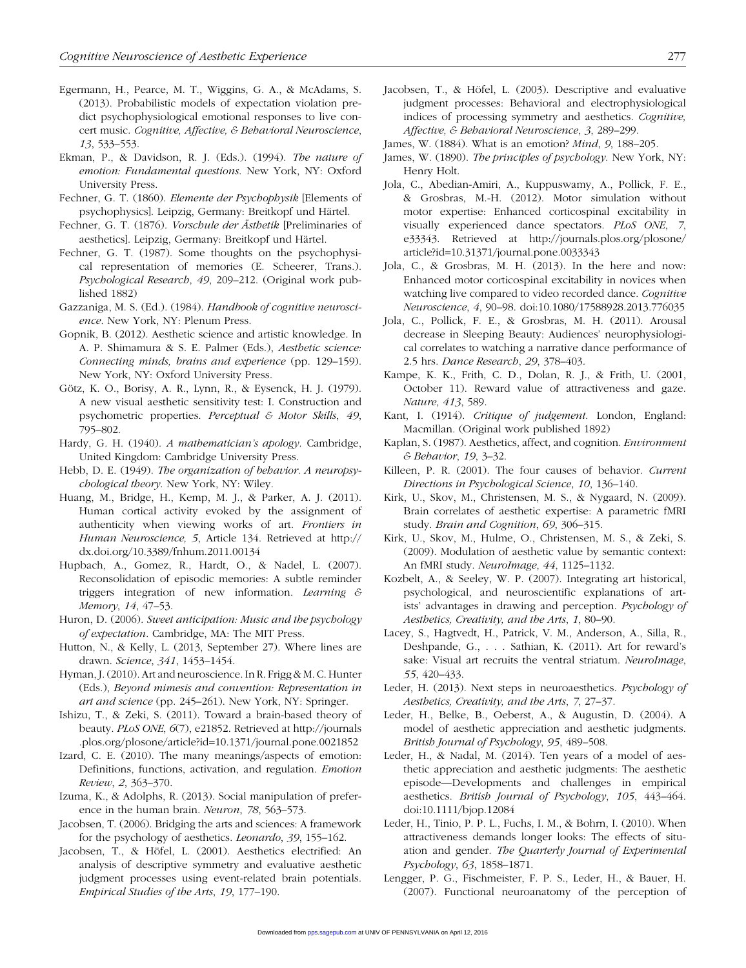- Egermann, H., Pearce, M. T., Wiggins, G. A., & McAdams, S. (2013). Probabilistic models of expectation violation predict psychophysiological emotional responses to live concert music. *Cognitive, Affective, & Behavioral Neuroscience*, *13*, 533–553.
- Ekman, P., & Davidson, R. J. (Eds.). (1994). *The nature of emotion: Fundamental questions*. New York, NY: Oxford University Press.
- Fechner, G. T. (1860). *Elemente der Psychophysik* [Elements of psychophysics]. Leipzig, Germany: Breitkopf und Härtel.
- Fechner, G. T. (1876). *Vorschule der Ästhetik* [Preliminaries of aesthetics]. Leipzig, Germany: Breitkopf und Härtel.
- Fechner, G. T. (1987). Some thoughts on the psychophysical representation of memories (E. Scheerer, Trans.). *Psychological Research*, *49*, 209–212. (Original work published 1882)
- Gazzaniga, M. S. (Ed.). (1984). *Handbook of cognitive neuroscience*. New York, NY: Plenum Press.
- Gopnik, B. (2012). Aesthetic science and artistic knowledge. In A. P. Shimamura & S. E. Palmer (Eds.), *Aesthetic science: Connecting minds, brains and experience* (pp. 129–159). New York, NY: Oxford University Press.
- Götz, K. O., Borisy, A. R., Lynn, R., & Eysenck, H. J. (1979). A new visual aesthetic sensitivity test: I. Construction and psychometric properties. *Perceptual & Motor Skills*, *49*, 795–802.
- Hardy, G. H. (1940). *A mathematician's apology*. Cambridge, United Kingdom: Cambridge University Press.
- Hebb, D. E. (1949). *The organization of behavior. A neuropsychological theory*. New York, NY: Wiley.
- Huang, M., Bridge, H., Kemp, M. J., & Parker, A. J. (2011). Human cortical activity evoked by the assignment of authenticity when viewing works of art. *Frontiers in Human Neuroscience, 5*, Article 134. Retrieved at http:// dx.doi.org/10.3389/fnhum.2011.00134
- Hupbach, A., Gomez, R., Hardt, O., & Nadel, L. (2007). Reconsolidation of episodic memories: A subtle reminder triggers integration of new information. *Learning & Memory*, *14*, 47–53.
- Huron, D. (2006). *Sweet anticipation: Music and the psychology of expectation*. Cambridge, MA: The MIT Press.
- Hutton, N., & Kelly, L. (2013, September 27). Where lines are drawn. *Science*, *341*, 1453–1454.
- Hyman, J. (2010). Art and neuroscience. In R. Frigg & M. C. Hunter (Eds.), *Beyond mimesis and convention: Representation in art and science* (pp. 245–261). New York, NY: Springer.
- Ishizu, T., & Zeki, S. (2011). Toward a brain-based theory of beauty. *PLoS ONE*, *6*(7), e21852. Retrieved at [http://journals](http://journals.plos.org/plosone/article?id=10.1371/journal.pone.0021852) [.plos.org/plosone/article?id=10.1371/journal.pone.0021852](http://journals.plos.org/plosone/article?id=10.1371/journal.pone.0021852)
- Izard, C. E. (2010). The many meanings/aspects of emotion: Definitions, functions, activation, and regulation. *Emotion Review*, *2*, 363–370.
- Izuma, K., & Adolphs, R. (2013). Social manipulation of preference in the human brain. *Neuron*, *78*, 563–573.
- Jacobsen, T. (2006). Bridging the arts and sciences: A framework for the psychology of aesthetics. *Leonardo*, *39*, 155–162.
- Jacobsen, T., & Höfel, L. (2001). Aesthetics electrified: An analysis of descriptive symmetry and evaluative aesthetic judgment processes using event-related brain potentials. *Empirical Studies of the Arts*, *19*, 177–190.
- Jacobsen, T., & Höfel, L. (2003). Descriptive and evaluative judgment processes: Behavioral and electrophysiological indices of processing symmetry and aesthetics. *Cognitive, Affective, & Behavioral Neuroscience*, *3*, 289–299.
- James, W. (1884). What is an emotion? *Mind*, *9*, 188–205.
- James, W. (1890). *The principles of psychology*. New York, NY: Henry Holt.
- Jola, C., Abedian-Amiri, A., Kuppuswamy, A., Pollick, F. E., & Grosbras, M.-H. (2012). Motor simulation without motor expertise: Enhanced corticospinal excitability in visually experienced dance spectators. *PLoS ONE*, *7*, [e33343. Retrieved at http://journals.plos.org/plosone/](http://journals.plos.org/plosone/article?id=10.31371/journal.pone.0033343) article?id=10.31371/journal.pone.0033343
- Jola, C., & Grosbras, M. H. (2013). In the here and now: Enhanced motor corticospinal excitability in novices when watching live compared to video recorded dance. *Cognitive Neuroscience*, *4*, 90–98. doi:10.1080/17588928.2013.776035
- Jola, C., Pollick, F. E., & Grosbras, M. H. (2011). Arousal decrease in Sleeping Beauty: Audiences' neurophysiological correlates to watching a narrative dance performance of 2.5 hrs. *Dance Research*, *29*, 378–403.
- Kampe, K. K., Frith, C. D., Dolan, R. J., & Frith, U. (2001, October 11). Reward value of attractiveness and gaze. *Nature*, *413*, 589.
- Kant, I. (1914). *Critique of judgement*. London, England: Macmillan. (Original work published 1892)
- Kaplan, S. (1987). Aesthetics, affect, and cognition. *Environment & Behavior*, *19*, 3–32.
- Killeen, P. R. (2001). The four causes of behavior. *Current Directions in Psychological Science*, *10*, 136–140.
- Kirk, U., Skov, M., Christensen, M. S., & Nygaard, N. (2009). Brain correlates of aesthetic expertise: A parametric fMRI study. *Brain and Cognition*, *69*, 306–315.
- Kirk, U., Skov, M., Hulme, O., Christensen, M. S., & Zeki, S. (2009). Modulation of aesthetic value by semantic context: An fMRI study. *NeuroImage*, *44*, 1125–1132.
- Kozbelt, A., & Seeley, W. P. (2007). Integrating art historical, psychological, and neuroscientific explanations of artists' advantages in drawing and perception. *Psychology of Aesthetics, Creativity, and the Arts*, *1*, 80–90.
- Lacey, S., Hagtvedt, H., Patrick, V. M., Anderson, A., Silla, R., Deshpande, G., . . . Sathian, K. (2011). Art for reward's sake: Visual art recruits the ventral striatum. *NeuroImage*, *55*, 420–433.
- Leder, H. (2013). Next steps in neuroaesthetics. *Psychology of Aesthetics, Creativity, and the Arts*, *7*, 27–37.
- Leder, H., Belke, B., Oeberst, A., & Augustin, D. (2004). A model of aesthetic appreciation and aesthetic judgments. *British Journal of Psychology*, *95*, 489–508.
- Leder, H., & Nadal, M. (2014). Ten years of a model of aesthetic appreciation and aesthetic judgments: The aesthetic episode—Developments and challenges in empirical aesthetics. *British Journal of Psychology*, *105*, 443–464. doi:10.1111/bjop.12084
- Leder, H., Tinio, P. P. L., Fuchs, I. M., & Bohrn, I. (2010). When attractiveness demands longer looks: The effects of situation and gender. *The Quarterly Journal of Experimental Psychology*, *63*, 1858–1871.
- Lengger, P. G., Fischmeister, F. P. S., Leder, H., & Bauer, H. (2007). Functional neuroanatomy of the perception of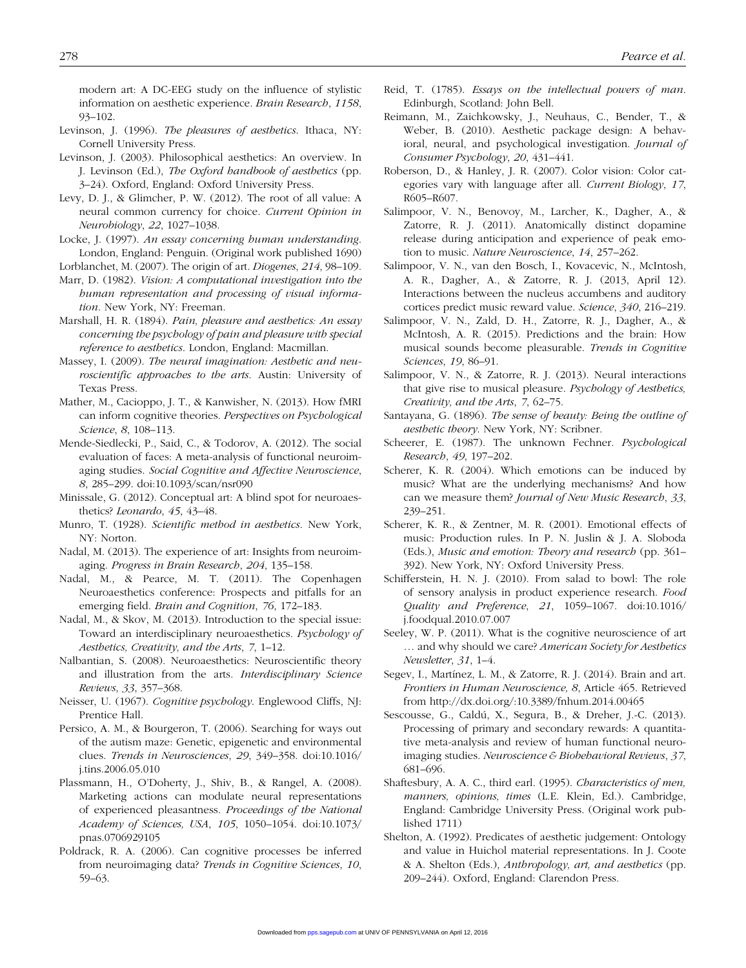modern art: A DC-EEG study on the influence of stylistic information on aesthetic experience. *Brain Research*, *1158*, 93–102.

- Levinson, J. (1996). *The pleasures of aesthetics*. Ithaca, NY: Cornell University Press.
- Levinson, J. (2003). Philosophical aesthetics: An overview. In J. Levinson (Ed.), *The Oxford handbook of aesthetics* (pp. 3–24). Oxford, England: Oxford University Press.
- Levy, D. J., & Glimcher, P. W. (2012). The root of all value: A neural common currency for choice. *Current Opinion in Neurobiology*, *22*, 1027–1038.
- Locke, J. (1997). *An essay concerning human understanding*. London, England: Penguin. (Original work published 1690)
- Lorblanchet, M. (2007). The origin of art. *Diogenes*, *214*, 98–109. Marr, D. (1982). *Vision: A computational investigation into the human representation and processing of visual information*. New York, NY: Freeman.
- Marshall, H. R. (1894). *Pain, pleasure and aesthetics: An essay concerning the psychology of pain and pleasure with special reference to aesthetics*. London, England: Macmillan.
- Massey, I. (2009). *The neural imagination: Aesthetic and neuroscientific approaches to the arts*. Austin: University of Texas Press.
- Mather, M., Cacioppo, J. T., & Kanwisher, N. (2013). How fMRI can inform cognitive theories. *Perspectives on Psychological Science*, *8*, 108–113.
- Mende-Siedlecki, P., Said, C., & Todorov, A. (2012). The social evaluation of faces: A meta-analysis of functional neuroimaging studies. *Social Cognitive and Affective Neuroscience*, *8*, 285–299. doi:10.1093/scan/nsr090
- Minissale, G. (2012). Conceptual art: A blind spot for neuroaesthetics? *Leonardo*, *45*, 43–48.
- Munro, T. (1928). *Scientific method in aesthetics*. New York, NY: Norton.
- Nadal, M. (2013). The experience of art: Insights from neuroimaging. *Progress in Brain Research*, *204*, 135–158.
- Nadal, M., & Pearce, M. T. (2011). The Copenhagen Neuroaesthetics conference: Prospects and pitfalls for an emerging field. *Brain and Cognition*, *76*, 172–183.
- Nadal, M., & Skov, M. (2013). Introduction to the special issue: Toward an interdisciplinary neuroaesthetics. *Psychology of Aesthetics, Creativity, and the Arts*, *7*, 1–12.
- Nalbantian, S. (2008). Neuroaesthetics: Neuroscientific theory and illustration from the arts. *Interdisciplinary Science Reviews*, *33*, 357–368.
- Neisser, U. (1967). *Cognitive psychology*. Englewood Cliffs, NJ: Prentice Hall.
- Persico, A. M., & Bourgeron, T. (2006). Searching for ways out of the autism maze: Genetic, epigenetic and environmental clues. *Trends in Neurosciences*, *29*, 349–358. doi:10.1016/ j.tins.2006.05.010
- Plassmann, H., O'Doherty, J., Shiv, B., & Rangel, A. (2008). Marketing actions can modulate neural representations of experienced pleasantness. *Proceedings of the National Academy of Sciences, USA*, *105*, 1050–1054. doi:10.1073/ pnas.0706929105
- Poldrack, R. A. (2006). Can cognitive processes be inferred from neuroimaging data? *Trends in Cognitive Sciences*, *10*, 59–63.
- Reid, T. (1785). *Essays on the intellectual powers of man*. Edinburgh, Scotland: John Bell.
- Reimann, M., Zaichkowsky, J., Neuhaus, C., Bender, T., & Weber, B. (2010). Aesthetic package design: A behavioral, neural, and psychological investigation. *Journal of Consumer Psychology*, *20*, 431–441.
- Roberson, D., & Hanley, J. R. (2007). Color vision: Color categories vary with language after all. *Current Biology*, *17*, R605–R607.
- Salimpoor, V. N., Benovoy, M., Larcher, K., Dagher, A., & Zatorre, R. J. (2011). Anatomically distinct dopamine release during anticipation and experience of peak emotion to music. *Nature Neuroscience*, *14*, 257–262.
- Salimpoor, V. N., van den Bosch, I., Kovacevic, N., McIntosh, A. R., Dagher, A., & Zatorre, R. J. (2013, April 12). Interactions between the nucleus accumbens and auditory cortices predict music reward value. *Science*, *340*, 216–219.
- Salimpoor, V. N., Zald, D. H., Zatorre, R. J., Dagher, A., & McIntosh, A. R. (2015). Predictions and the brain: How musical sounds become pleasurable. *Trends in Cognitive Sciences*, *19*, 86–91.
- Salimpoor, V. N., & Zatorre, R. J. (2013). Neural interactions that give rise to musical pleasure. *Psychology of Aesthetics, Creativity, and the Arts*, *7*, 62–75.
- Santayana, G. (1896). *The sense of beauty: Being the outline of aesthetic theory*. New York, NY: Scribner.
- Scheerer, E. (1987). The unknown Fechner. *Psychological Research*, *49*, 197–202.
- Scherer, K. R. (2004). Which emotions can be induced by music? What are the underlying mechanisms? And how can we measure them? *Journal of New Music Research*, *33*, 239–251.
- Scherer, K. R., & Zentner, M. R. (2001). Emotional effects of music: Production rules. In P. N. Juslin & J. A. Sloboda (Eds.), *Music and emotion: Theory and research* (pp. 361– 392). New York, NY: Oxford University Press.
- Schifferstein, H. N. J. (2010). From salad to bowl: The role of sensory analysis in product experience research. *Food Quality and Preference*, *21*, 1059–1067. doi:10.1016/ j.foodqual.2010.07.007
- Seeley, W. P. (2011). What is the cognitive neuroscience of art … and why should we care? *American Society for Aesthetics Newsletter*, *31*, 1–4.
- Segev, I., Martínez, L. M., & Zatorre, R. J. (2014). Brain and art. *Frontiers in Human Neuroscience, 8*, Article 465. Retrieved from http://dx.doi.org/:10.3389/fnhum.2014.00465
- Sescousse, G., Caldú, X., Segura, B., & Dreher, J.-C. (2013). Processing of primary and secondary rewards: A quantitative meta-analysis and review of human functional neuroimaging studies. *Neuroscience & Biobehavioral Reviews*, *37*, 681–696.
- Shaftesbury, A. A. C., third earl. (1995). *Characteristics of men, manners, opinions, times* (L.E. Klein, Ed.). Cambridge, England: Cambridge University Press. (Original work published 1711)
- Shelton, A. (1992). Predicates of aesthetic judgement: Ontology and value in Huichol material representations. In J. Coote & A. Shelton (Eds.), *Anthropology, art, and aesthetics* (pp. 209–244). Oxford, England: Clarendon Press.